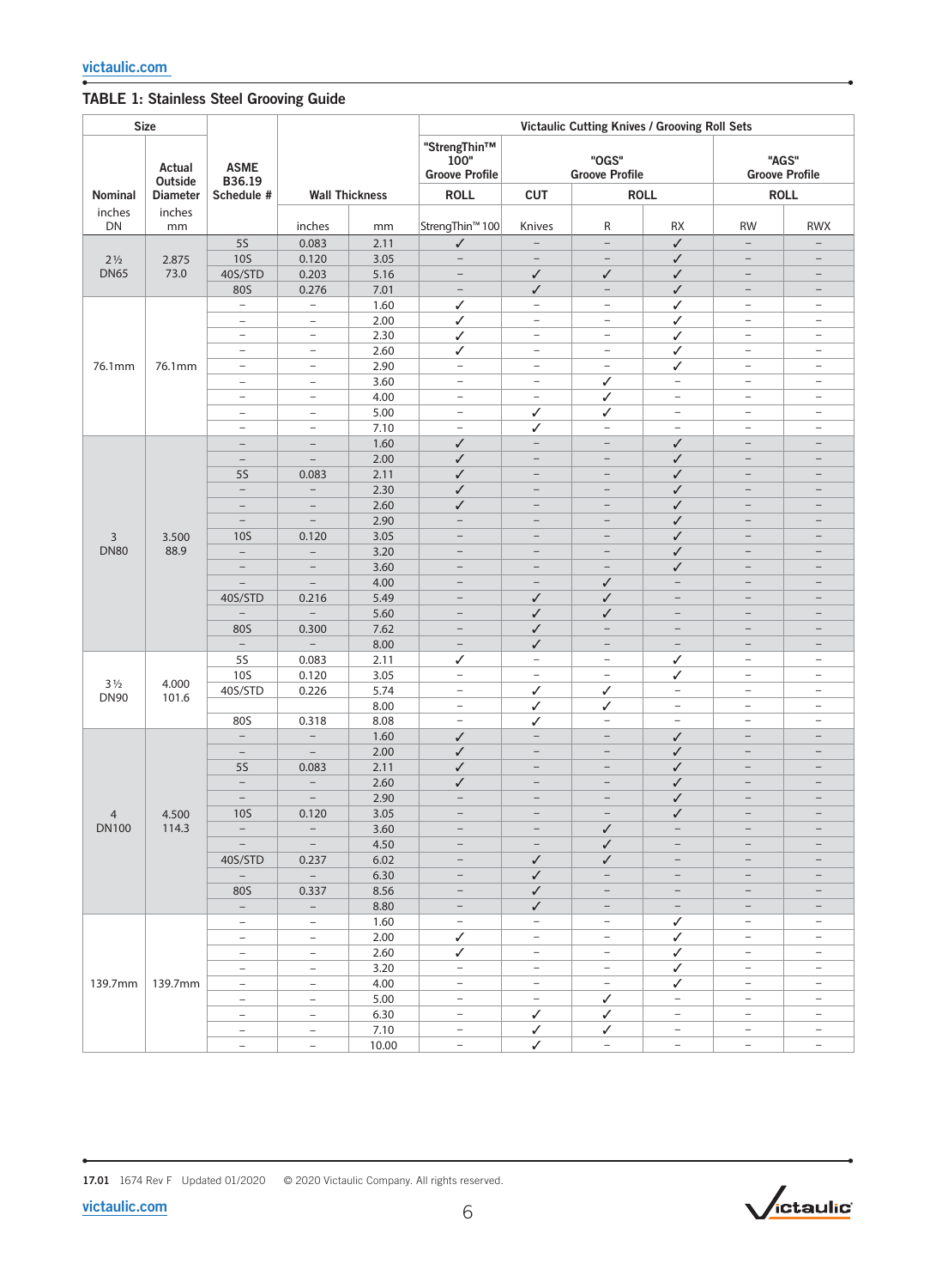## TABLE 1: Stainless Steel Grooving Guide

| <b>Size</b>    |                   |                                                      |                                                      |                                               | Victaulic Cutting Knives / Grooving Roll Sets |                                               |                                                      |                                |                                                      |                                                      |  |
|----------------|-------------------|------------------------------------------------------|------------------------------------------------------|-----------------------------------------------|-----------------------------------------------|-----------------------------------------------|------------------------------------------------------|--------------------------------|------------------------------------------------------|------------------------------------------------------|--|
|                | Actual<br>Outside | <b>ASME</b><br>B36.19                                |                                                      | "StrengThin™<br>100"<br><b>Groove Profile</b> |                                               | "OGS"<br><b>Groove Profile</b>                |                                                      | "AGS"<br><b>Groove Profile</b> |                                                      |                                                      |  |
| Nominal        | <b>Diameter</b>   | Schedule #                                           | <b>Wall Thickness</b>                                |                                               | <b>ROLL</b>                                   | <b>CUT</b>                                    |                                                      | <b>ROLL</b>                    |                                                      | <b>ROLL</b>                                          |  |
| inches         | inches            |                                                      |                                                      |                                               |                                               |                                               |                                                      |                                |                                                      |                                                      |  |
| <b>DN</b>      | mm                |                                                      | inches                                               | mm                                            | StrengThin <sup>™</sup> 100                   | Knives                                        | R                                                    | RX                             | <b>RW</b>                                            | <b>RWX</b>                                           |  |
|                |                   | <b>5S</b>                                            | 0.083                                                | 2.11                                          | $\checkmark$                                  | $\overline{\phantom{m}}$                      | $\overline{\phantom{a}}$                             | ✓                              | $\qquad \qquad -$                                    | $\overline{\phantom{0}}$                             |  |
| $2\frac{1}{2}$ | 2.875             | <b>10S</b>                                           | 0.120                                                | 3.05                                          | $\overline{a}$                                | $\overline{\phantom{a}}$                      | $\overline{\phantom{a}}$                             | ✓                              | $\qquad \qquad -$                                    |                                                      |  |
| <b>DN65</b>    | 73.0              | 40S/STD<br>80S                                       | 0.203                                                | 5.16                                          | $\qquad \qquad -$<br>$\overline{\phantom{a}}$ | ✓<br>✓                                        | $\checkmark$<br>$\overline{\phantom{m}}$             | ✓<br>✓                         | $\overline{\phantom{a}}$<br>$\qquad \qquad -$        | $\overline{\phantom{a}}$<br>$\overline{\phantom{a}}$ |  |
|                |                   | $\equiv$                                             | 0.276<br>$\equiv$                                    | 7.01<br>1.60                                  | ✓                                             | $\overline{\phantom{a}}$                      | $\overline{\phantom{a}}$                             | ✓                              | $\overline{\phantom{a}}$                             | $\overline{\phantom{a}}$                             |  |
|                |                   | $\overline{\phantom{a}}$                             | $\overline{\phantom{a}}$                             | 2.00                                          | ✓                                             | $\overline{\phantom{a}}$                      | $\overline{\phantom{a}}$                             | ✓                              | $\overline{\phantom{a}}$                             | $\overline{\phantom{a}}$                             |  |
|                |                   | $\overline{\phantom{a}}$                             | $\overline{\phantom{a}}$                             | 2.30                                          | $\checkmark$                                  | $\overline{\phantom{a}}$                      | $\overline{\phantom{a}}$                             | ✓                              | $\overline{\phantom{a}}$                             | $\overline{\phantom{a}}$                             |  |
|                |                   | ÷                                                    | $\overline{\phantom{0}}$                             | 2.60                                          | ✓                                             | $\overline{\phantom{a}}$                      | $\overline{\phantom{a}}$                             | ✓                              | $\overline{\phantom{a}}$                             | $\overline{\phantom{a}}$                             |  |
| 76.1mm         | 76.1mm            | $\overline{\phantom{a}}$                             | $\overline{\phantom{a}}$                             | 2.90                                          | $\overline{\phantom{a}}$                      | $\overline{\phantom{m}}$                      | $\overline{\phantom{a}}$                             | ✓                              | $\overline{\phantom{a}}$                             | $\overline{\phantom{m}}$                             |  |
|                |                   | $\qquad \qquad -$                                    | $\qquad \qquad -$                                    | 3.60                                          | $\overline{\phantom{a}}$                      | $\overline{\phantom{a}}$                      | $\checkmark$                                         | $\overline{\phantom{a}}$       | $\overline{\phantom{a}}$                             | $\overline{\phantom{a}}$                             |  |
|                |                   | ÷                                                    | $\overline{\phantom{0}}$                             | 4.00                                          | $\qquad \qquad -$                             | $\equiv$                                      | ✓                                                    | $\overline{\phantom{a}}$       | $\overline{\phantom{a}}$                             | $\overline{\phantom{a}}$                             |  |
|                |                   | $\overline{\phantom{a}}$                             | $\overline{\phantom{a}}$                             | 5.00                                          | $\overline{\phantom{a}}$                      | ✓                                             | ✓                                                    | $\overline{\phantom{a}}$       | $\overline{\phantom{a}}$                             | $\overline{\phantom{m}}$                             |  |
|                |                   | $\overline{\phantom{a}}$                             | $\overline{\phantom{a}}$                             | 7.10                                          | $\overline{\phantom{a}}$                      | ✓                                             | $\overline{\phantom{a}}$                             | $\overline{\phantom{a}}$       | $\overline{\phantom{a}}$                             | $\overline{\phantom{a}}$                             |  |
|                |                   | $\overline{\phantom{a}}$                             | $\overline{\phantom{a}}$                             | 1.60                                          | $\checkmark$                                  | $\qquad \qquad -$                             | $\overline{\phantom{a}}$                             | ✓                              | $\qquad \qquad -$                                    | $\overline{\phantom{m}}$                             |  |
|                |                   | $\overline{\phantom{0}}$                             | $\overline{\phantom{0}}$                             | 2.00                                          | $\checkmark$                                  | $\overline{\phantom{a}}$                      | $\overline{\phantom{0}}$                             | ✓                              | $\qquad \qquad -$                                    | $\overline{\phantom{a}}$                             |  |
|                |                   | <b>5S</b>                                            | 0.083                                                | 2.11                                          | ✓                                             | $\qquad \qquad -$                             | $\overline{\phantom{0}}$                             | ✓                              | $\overline{\phantom{m}}$                             | $\overline{\phantom{m}}$                             |  |
|                |                   | $\overline{\phantom{a}}$                             | $\qquad \qquad -$                                    | 2.30                                          | ✓                                             | $\qquad \qquad -$                             | $\qquad \qquad -$                                    | ✓                              | $\qquad \qquad -$                                    | $\overline{\phantom{m}}$<br>$\equiv$                 |  |
|                |                   | $\equiv$<br>$\overline{\phantom{0}}$                 | $\overline{\phantom{0}}$<br>$\overline{\phantom{0}}$ | 2.60<br>2.90                                  | ✓<br>$\overline{\phantom{0}}$                 | $\overline{\phantom{m}}$<br>$\qquad \qquad -$ | $\overline{\phantom{m}}$<br>$\overline{\phantom{0}}$ | ✓<br>✓                         | $\overline{\phantom{m}}$<br>$\qquad \qquad -$        | $\qquad \qquad -$                                    |  |
| 3              | 3.500<br>88.9     | <b>10S</b>                                           | 0.120                                                | 3.05                                          | $\overline{\phantom{0}}$                      | $\overline{\phantom{m}}$                      | $\qquad \qquad -$                                    | ✓                              | $\overline{\phantom{m}}$                             | $\overline{\phantom{m}}$                             |  |
| <b>DN80</b>    |                   | $\overline{\phantom{0}}$                             |                                                      | 3.20                                          | $\qquad \qquad -$                             | $\overline{\phantom{m}}$                      | $\overline{\phantom{m}}$                             | $\checkmark$                   | $\overline{\phantom{m}}$                             | $\qquad \qquad -$                                    |  |
|                |                   | $\overline{\phantom{a}}$                             | $\overline{\phantom{0}}$                             | 3.60                                          | $\qquad \qquad -$                             | $\overline{\phantom{a}}$                      | $\qquad \qquad -$                                    | ✓                              | $\qquad \qquad -$                                    | $\qquad \qquad -$                                    |  |
|                |                   | $\equiv$                                             | $\overline{\phantom{a}}$                             | 4.00                                          | $\overline{\phantom{0}}$                      | $\overline{\phantom{m}}$                      | $\checkmark$                                         | $\qquad \qquad -$              | $\overline{\phantom{m}}$                             | $\overline{\phantom{m}}$                             |  |
|                |                   | 40S/STD                                              | 0.216                                                | 5.49                                          | $\qquad \qquad -$                             | ✓                                             | ✓                                                    | $\qquad \qquad -$              | $\overline{\phantom{0}}$                             |                                                      |  |
|                |                   | $\qquad \qquad -$                                    | $\overline{\phantom{0}}$                             | 5.60                                          | $\qquad \qquad -$                             | ✓                                             | ✓                                                    | $\qquad \qquad -$              | $\overline{\phantom{0}}$                             | $\overline{\phantom{m}}$                             |  |
|                |                   | 80S                                                  | 0.300                                                | 7.62                                          | $\overline{\phantom{0}}$                      | ✓                                             | $\qquad \qquad -$                                    | $\overline{\phantom{0}}$       | $\overline{\phantom{0}}$                             | $\qquad \qquad -$                                    |  |
|                |                   | $\equiv$                                             | $\equiv$                                             | 8.00                                          | $\overline{\phantom{a}}$                      | ✓                                             | $\qquad \qquad -$                                    | $\qquad \qquad -$              | $\overline{\phantom{0}}$                             | $\overline{\phantom{a}}$                             |  |
|                |                   | <b>5S</b>                                            | 0.083                                                | 2.11                                          | ✓                                             | $\overline{\phantom{a}}$                      | $\overline{\phantom{a}}$                             | ✓                              | -                                                    | $\overline{\phantom{m}}$                             |  |
| $3\frac{1}{2}$ | 4.000             | <b>10S</b>                                           | 0.120                                                | 3.05                                          | $\qquad \qquad -$                             | $\overline{\phantom{a}}$                      | $\overline{\phantom{a}}$                             | ✓                              | $\qquad \qquad -$                                    | $\overline{\phantom{a}}$                             |  |
| <b>DN90</b>    | 101.6             | 40S/STD                                              | 0.226                                                | 5.74                                          | $\overline{\phantom{a}}$                      | ✓                                             | ✓                                                    | $\qquad \qquad -$              | $\qquad \qquad -$                                    | $\qquad \qquad -$                                    |  |
|                |                   |                                                      |                                                      | 8.00                                          | $\overline{\phantom{a}}$                      | ✓                                             | ✓                                                    | $\overline{\phantom{a}}$       | $\overline{\phantom{a}}$                             | $\overline{\phantom{a}}$<br>$\overline{\phantom{a}}$ |  |
|                |                   | 80S<br>$\overline{\phantom{0}}$                      | 0.318<br>$\qquad \qquad -$                           | 8.08<br>1.60                                  | $\overline{\phantom{a}}$<br>$\checkmark$      | ✓<br>$\overline{\phantom{m}}$                 | $\overline{\phantom{a}}$<br>$\overline{\phantom{0}}$ | $\overline{\phantom{a}}$<br>✓  | $\qquad \qquad -$<br>$\overline{\phantom{0}}$        | $\overline{\phantom{0}}$                             |  |
|                |                   | $\overline{\phantom{a}}$                             | $\overline{\phantom{a}}$                             | 2.00                                          | ✓                                             | $\overline{\phantom{m}}$                      | $\qquad \qquad -$                                    | ✓                              | $\qquad \qquad -$                                    | $\overline{\phantom{m}}$                             |  |
|                |                   | <b>5S</b>                                            | 0.083                                                | 2.11                                          | ✓                                             | $\qquad \qquad -$                             |                                                      | ✓                              |                                                      |                                                      |  |
|                |                   | $\overline{\phantom{a}}$                             | $\overline{\phantom{a}}$                             | 2.60                                          | ✓                                             | $\overline{\phantom{a}}$                      | $\overline{\phantom{0}}$                             | ✓                              | $\qquad \qquad -$                                    | $\overline{\phantom{0}}$                             |  |
|                |                   | -                                                    | $\qquad \qquad -$                                    | 2.90                                          | $\qquad \qquad -$                             | $\qquad \qquad -$                             |                                                      | ✓                              |                                                      |                                                      |  |
| $\overline{4}$ | 4.500             | <b>10S</b>                                           | 0.120                                                | 3.05                                          | $\overline{\phantom{a}}$                      | $\overline{\phantom{a}}$                      | $\overline{\phantom{m}}$                             | $\checkmark$                   | $\overline{\phantom{m}}$                             | $\qquad \qquad -$                                    |  |
| <b>DN100</b>   | 114.3             | $\overline{\phantom{a}}$                             | $\overline{\phantom{a}}$                             | $3.60$                                        |                                               | $\qquad \qquad -$                             | $\checkmark$                                         |                                |                                                      |                                                      |  |
|                |                   | $\overline{\phantom{a}}$                             | $\sim$                                               | 4.50                                          | $\overline{\phantom{a}}$                      | $\overline{\phantom{a}}$                      | $\checkmark$                                         | $\overline{\phantom{m}}$       | $\qquad \qquad -$                                    | $\overline{\phantom{m}}$                             |  |
|                |                   | 40S/STD                                              | 0.237                                                | 6.02                                          | $\overline{\phantom{a}}$                      | ✓                                             | $\checkmark$                                         | $\overline{\phantom{a}}$       | $\overline{\phantom{m}}$                             | $\overline{\phantom{m}}$                             |  |
|                |                   | $\overline{\phantom{0}}$                             | $\sim$                                               | 6.30                                          | $\overline{\phantom{a}}$                      | $\checkmark$                                  | $\qquad \qquad -$                                    | $\qquad \qquad -$              | $\overline{\phantom{m}}$                             | $\overline{\phantom{m}}$                             |  |
|                |                   | 80S                                                  | 0.337                                                | 8.56                                          | $\overline{\phantom{a}}$                      | $\checkmark$                                  | $\qquad \qquad -$                                    | $\overline{\phantom{a}}$       | $\overline{\phantom{a}}$                             | $-$                                                  |  |
|                |                   | $\overline{\phantom{a}}$                             | $\overline{\phantom{a}}$                             | 8.80                                          | $\overline{\phantom{a}}$                      | $\checkmark$<br>$\overline{\phantom{a}}$      | $\overline{\phantom{a}}$                             | $\overline{\phantom{a}}$       | $\overline{\phantom{m}}$                             | $\overline{\phantom{m}}$<br>$\overline{\phantom{a}}$ |  |
|                |                   | $\overline{\phantom{a}}$<br>$\overline{\phantom{a}}$ | $-$<br>$\overline{\phantom{0}}$                      | 1.60<br>2.00                                  | $\overline{\phantom{a}}$<br>$\checkmark$      | $\overline{\phantom{a}}$                      | $\overline{\phantom{m}}$<br>$\overline{\phantom{m}}$ | ✓<br>$\checkmark$              | $\overline{\phantom{a}}$<br>$\overline{\phantom{a}}$ | $\overline{\phantom{m}}$                             |  |
|                |                   | $\overline{\phantom{a}}$                             | $\overline{\phantom{a}}$                             | 2.60                                          | ✓                                             | $\overline{\phantom{a}}$                      | $\overline{\phantom{a}}$                             | ✓                              | $\overline{\phantom{a}}$                             | $\overline{\phantom{m}}$                             |  |
|                |                   | $\overline{\phantom{m}}$                             | $\overline{\phantom{a}}$                             | 3.20                                          | $\overline{\phantom{m}}$                      | $\overline{\phantom{a}}$                      | $\overline{\phantom{a}}$                             | ✓                              | $\overline{\phantom{a}}$                             | $\overline{\phantom{a}}$                             |  |
| 139.7mm        | 139.7mm           | $\overline{\phantom{a}}$                             | $\overline{\phantom{0}}$                             | 4.00                                          | $\overline{\phantom{a}}$                      | $\overline{\phantom{a}}$                      | $\overline{\phantom{m}}$                             | $\checkmark$                   | $\overline{\phantom{a}}$                             | $\overline{\phantom{m}}$                             |  |
|                |                   | $\overline{\phantom{a}}$                             | $\overline{\phantom{a}}$                             | 5.00                                          | $\overline{\phantom{a}}$                      | $\overline{\phantom{a}}$                      | ✓                                                    | $\overline{\phantom{a}}$       | $\overline{\phantom{a}}$                             | $\overline{\phantom{a}}$                             |  |
|                |                   | $\overline{\phantom{a}}$                             | $\overline{\phantom{a}}$                             | 6.30                                          | $\overline{\phantom{a}}$                      | ✓                                             | ✓                                                    | $\overline{\phantom{a}}$       | $\qquad \qquad -$                                    | $\overline{\phantom{a}}$                             |  |
|                |                   | $\overline{\phantom{a}}$                             | $\overline{\phantom{a}}$                             | 7.10                                          | $\overline{\phantom{a}}$                      | ✓                                             | ✓                                                    | $\overline{\phantom{a}}$       | $\overline{\phantom{a}}$                             | $\overline{\phantom{m}}$                             |  |
|                |                   | $\overline{\phantom{0}}$                             | $\overline{\phantom{0}}$                             | 10.00                                         | $\overline{\phantom{a}}$                      | ✓                                             | $\overline{\phantom{a}}$                             | $\overline{\phantom{0}}$       | $\overline{\phantom{a}}$                             | $\overline{\phantom{a}}$                             |  |

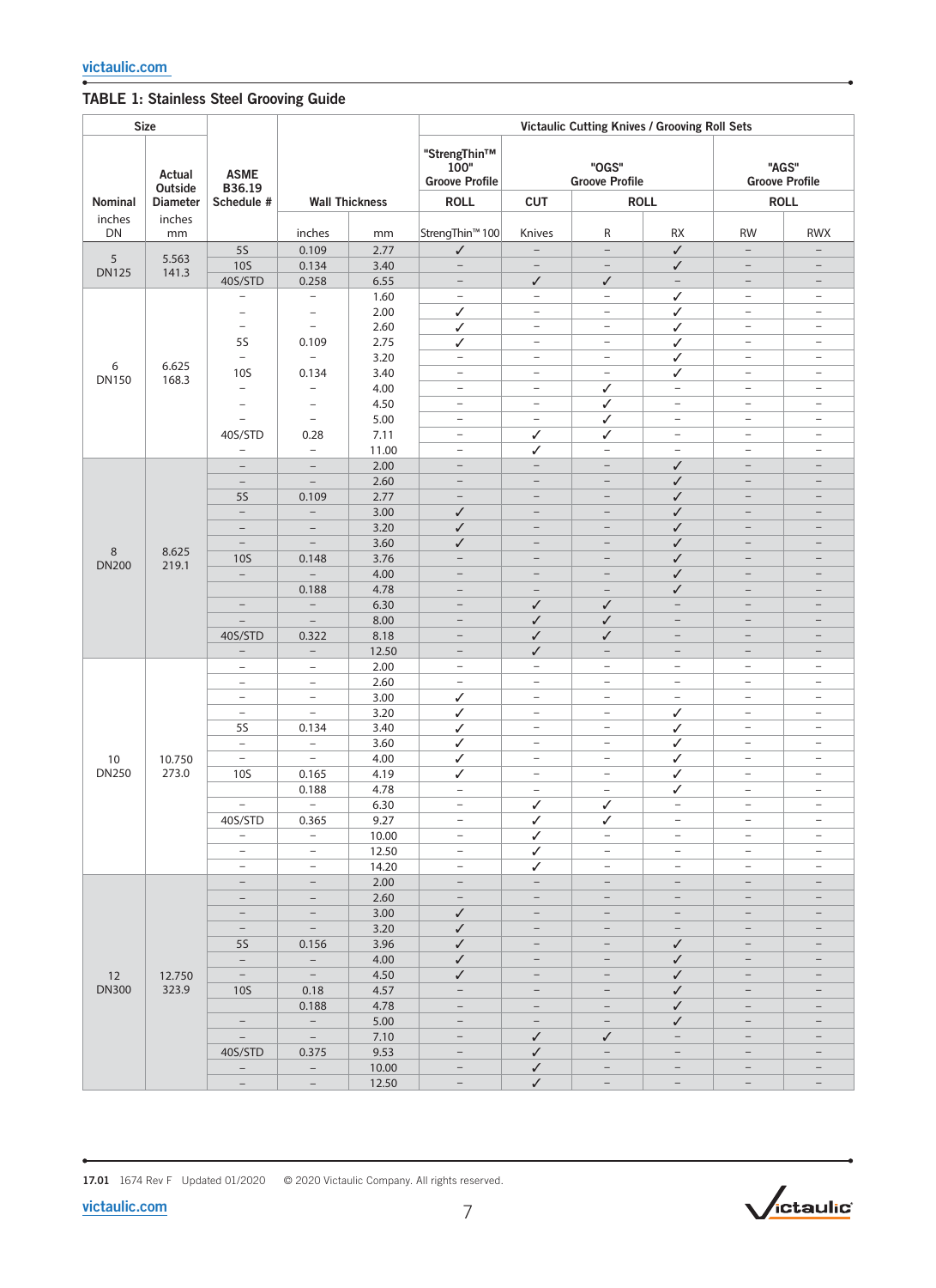## TABLE 1: Stainless Steel Grooving Guide

| <b>Size</b>         |                   |                                                      |                                               |                       | Victaulic Cutting Knives / Grooving Roll Sets |                                                      |                                                      |                                               |                                               |                                                      |  |
|---------------------|-------------------|------------------------------------------------------|-----------------------------------------------|-----------------------|-----------------------------------------------|------------------------------------------------------|------------------------------------------------------|-----------------------------------------------|-----------------------------------------------|------------------------------------------------------|--|
|                     | Actual<br>Outside | <b>ASME</b><br>B36.19                                |                                               |                       | "StrengThin™<br>100"<br><b>Groove Profile</b> |                                                      | "OGS"<br><b>Groove Profile</b>                       |                                               |                                               | "AGS"<br><b>Groove Profile</b>                       |  |
| Nominal             | <b>Diameter</b>   | Schedule #                                           |                                               | <b>Wall Thickness</b> | <b>ROLL</b>                                   | <b>CUT</b>                                           |                                                      | <b>ROLL</b>                                   | <b>ROLL</b>                                   |                                                      |  |
| inches<br><b>DN</b> | inches<br>mm      |                                                      | inches                                        | mm                    | StrengThin <sup>™</sup> 100                   | Knives                                               | R                                                    | <b>RX</b>                                     | <b>RW</b>                                     | <b>RWX</b>                                           |  |
| 5                   | 5.563             | <b>5S</b>                                            | 0.109                                         | 2.77                  | $\checkmark$                                  | $\qquad \qquad -$                                    | $\qquad \qquad -$                                    | ✓                                             | $\qquad \qquad -$                             | $\overline{\phantom{0}}$                             |  |
| <b>DN125</b>        | 141.3             | <b>10S</b>                                           | 0.134                                         | 3.40                  | $\overline{\phantom{a}}$                      | $\overline{\phantom{a}}$                             | $\overline{\phantom{a}}$                             | ✓                                             | $\overline{\phantom{a}}$                      | $\overline{\phantom{0}}$                             |  |
|                     |                   | 40S/STD                                              | 0.258                                         | 6.55                  | $\overline{\phantom{a}}$                      | ✓<br>$\qquad \qquad -$                               | $\checkmark$                                         | $\qquad \qquad -$                             | $\qquad \qquad -$                             | $\overline{\phantom{0}}$<br>$\overline{\phantom{0}}$ |  |
|                     |                   | -<br>$\qquad \qquad -$                               | $\qquad \qquad -$<br>$\qquad \qquad -$        | 1.60<br>2.00          | $\overline{\phantom{a}}$<br>✓                 | $\overline{\phantom{a}}$                             | $\overline{\phantom{a}}$<br>$\overline{\phantom{a}}$ | ✓<br>✓                                        | $\qquad \qquad -$<br>$\overline{\phantom{a}}$ | $\overline{\phantom{m}}$                             |  |
|                     |                   | $\overline{\phantom{a}}$                             | $\qquad \qquad -$                             | 2.60                  | ✓                                             | $\overline{\phantom{a}}$                             | $\overline{\phantom{a}}$                             | ✓                                             | $\overline{\phantom{a}}$                      | $\qquad \qquad -$                                    |  |
|                     |                   | <b>5S</b>                                            | 0.109                                         | 2.75                  | ✓                                             | $\qquad \qquad -$                                    | $\overline{\phantom{a}}$                             | ✓                                             | $\qquad \qquad -$                             | $\overline{\phantom{0}}$                             |  |
|                     |                   | $\overline{\phantom{a}}$                             | $\overline{\phantom{a}}$                      | 3.20                  | $\overline{\phantom{a}}$                      | $\overline{\phantom{a}}$                             | $\overline{\phantom{a}}$                             | ✓                                             | $\overline{\phantom{a}}$                      | $\overline{\phantom{m}}$                             |  |
| 6<br><b>DN150</b>   | 6.625             | <b>10S</b>                                           | 0.134                                         | 3.40                  | $\qquad \qquad -$                             | $\overline{\phantom{a}}$                             | $\overline{\phantom{a}}$                             | ✓                                             | $\overline{\phantom{a}}$                      | $\overline{\phantom{0}}$                             |  |
|                     | 168.3             | $\overline{\phantom{0}}$                             | $\overline{\phantom{0}}$                      | 4.00                  | $\qquad \qquad -$                             | $\overline{\phantom{a}}$                             | $\checkmark$                                         | $\overline{\phantom{a}}$                      | $\overline{\phantom{a}}$                      | $\qquad \qquad -$                                    |  |
|                     |                   | $\overline{\phantom{0}}$                             | $\qquad \qquad -$                             | 4.50                  | $\overline{\phantom{a}}$                      | $\overline{\phantom{a}}$                             | ✓                                                    | $\overline{\phantom{a}}$                      | $\overline{\phantom{a}}$                      | $\overline{\phantom{m}}$                             |  |
|                     |                   | ÷                                                    | $\overline{\phantom{a}}$                      | 5.00                  | $\qquad \qquad -$                             | $\overline{\phantom{a}}$                             | ✓                                                    | $\overline{\phantom{a}}$                      | $\overline{\phantom{a}}$                      | $\overline{\phantom{0}}$                             |  |
|                     |                   | 40S/STD                                              | 0.28                                          | 7.11                  | $\qquad \qquad -$                             | ✓                                                    | ✓                                                    | $\overline{\phantom{a}}$                      | $\overline{\phantom{0}}$                      | $\overline{\phantom{0}}$                             |  |
|                     |                   | $\overline{\phantom{0}}$                             | $\overline{\phantom{a}}$                      | 11.00                 | $\overline{\phantom{0}}$                      | ✓                                                    | $\overline{\phantom{a}}$                             | $\overline{\phantom{0}}$                      | $\qquad \qquad -$                             | $\overline{\phantom{0}}$                             |  |
|                     |                   | $\qquad \qquad -$                                    | $\overline{\phantom{a}}$                      | 2.00                  | $\qquad \qquad -$                             | $\qquad \qquad -$                                    | $\qquad \qquad -$                                    | ✓                                             | $\qquad \qquad -$                             | $\qquad \qquad -$                                    |  |
|                     |                   | $\equiv$<br><b>5S</b>                                | $\equiv$                                      | 2.60<br>2.77          | $\overline{\phantom{0}}$<br>$\qquad \qquad -$ | $\overline{\phantom{0}}$<br>$\overline{\phantom{0}}$ | $\overline{\phantom{0}}$<br>$\overline{\phantom{0}}$ | ✓<br>$\checkmark$                             | $\qquad \qquad -$<br>$\overline{\phantom{0}}$ | $\qquad \qquad -$<br>$\overline{\phantom{0}}$        |  |
|                     |                   | $\overline{\phantom{a}}$                             | 0.109<br>$\overline{\phantom{a}}$             | 3.00                  | ✓                                             | $\qquad \qquad -$                                    | $\overline{\phantom{0}}$                             | ✓                                             | $\qquad \qquad -$                             | $\qquad \qquad -$                                    |  |
|                     |                   | $\overline{\phantom{a}}$                             | $\overline{\phantom{0}}$                      | 3.20                  | $\checkmark$                                  | $\overline{\phantom{a}}$                             | $\overline{\phantom{0}}$                             | ✓                                             | $\overline{\phantom{0}}$                      | $\equiv$                                             |  |
|                     | 8.625<br>219.1    | $\overline{\phantom{a}}$                             | $\overline{\phantom{a}}$                      | 3.60                  | ✓                                             | $\overline{\phantom{0}}$                             | -                                                    | ✓                                             | $\overline{\phantom{0}}$                      | $\overline{\phantom{0}}$                             |  |
| 8                   |                   | <b>10S</b>                                           | 0.148                                         | 3.76                  | $\overline{\phantom{a}}$                      | $\qquad \qquad -$                                    | $\qquad \qquad -$                                    | ✓                                             | $\qquad \qquad -$                             | $\overline{\phantom{0}}$                             |  |
| <b>DN200</b>        |                   | $\equiv$                                             | $\overline{\phantom{0}}$                      | 4.00                  | $\qquad \qquad -$                             | $\overline{\phantom{m}}$                             | $\qquad \qquad -$                                    | ✓                                             | $\overline{\phantom{0}}$                      |                                                      |  |
|                     |                   |                                                      | 0.188                                         | 4.78                  |                                               |                                                      |                                                      | ✓                                             |                                               |                                                      |  |
|                     |                   | $\overline{\phantom{a}}$                             | $\overline{\phantom{a}}$                      | 6.30                  | $\qquad \qquad -$                             | ✓                                                    | ✓                                                    | $\qquad \qquad -$                             | $\qquad \qquad -$                             | $\overline{\phantom{m}}$                             |  |
|                     |                   |                                                      |                                               | 8.00                  | $\overline{\phantom{0}}$                      | ✓                                                    | ✓                                                    | $\overline{\phantom{0}}$                      |                                               |                                                      |  |
|                     |                   | 40S/STD                                              | 0.322                                         | 8.18                  | $\qquad \qquad -$                             | ✓                                                    | ✓                                                    | $\overline{\phantom{0}}$                      | $\overline{\phantom{0}}$                      | $\qquad \qquad -$                                    |  |
|                     |                   | $\overline{\phantom{a}}$                             | $\overline{\phantom{a}}$                      | 12.50                 | $\overline{\phantom{m}}$                      | ✓                                                    | $\overline{\phantom{m}}$                             | $\overline{\phantom{0}}$                      | $\qquad \qquad -$                             | $\overline{\phantom{a}}$                             |  |
|                     |                   | $\overline{\phantom{a}}$                             | $\overline{\phantom{m}}$                      | 2.00                  | $\qquad \qquad -$                             | $\overline{\phantom{0}}$                             | $\qquad \qquad -$                                    | $\qquad \qquad -$                             | $\qquad \qquad -$                             | $\overline{\phantom{a}}$                             |  |
|                     |                   | $\overline{\phantom{a}}$                             | $\overline{\phantom{a}}$                      | 2.60                  | $\qquad \qquad -$                             | $\overline{\phantom{0}}$                             | $\qquad \qquad -$                                    | $\overline{\phantom{0}}$                      | $\overline{\phantom{0}}$                      | $\overline{\phantom{a}}$                             |  |
|                     |                   | $\overline{\phantom{a}}$<br>$\overline{\phantom{a}}$ | $\overline{\phantom{a}}$<br>$\qquad \qquad -$ | 3.00<br>3.20          | ✓                                             | $\overline{\phantom{a}}$<br>$\overline{\phantom{a}}$ | $\overline{\phantom{m}}$<br>$\overline{\phantom{a}}$ | $\overline{\phantom{a}}$                      | $\qquad \qquad -$<br>$\qquad \qquad -$        | $\equiv$<br>$\overline{\phantom{a}}$                 |  |
|                     |                   | 5S                                                   | 0.134                                         | 3.40                  | ✓<br>✓                                        | $\qquad \qquad -$                                    | $\overline{\phantom{a}}$                             | ✓<br>✓                                        | $\overline{\phantom{0}}$                      | $\overline{\phantom{0}}$                             |  |
|                     |                   | $\equiv$                                             | $\equiv$                                      | 3.60                  | ✓                                             | $\overline{\phantom{a}}$                             | $\overline{\phantom{a}}$                             | ✓                                             | $\qquad \qquad -$                             | $\overline{\phantom{a}}$                             |  |
| 10                  | 10.750            | $\overline{\phantom{a}}$                             | $\overline{\phantom{a}}$                      | 4.00                  | ✓                                             | $\overline{\phantom{a}}$                             | $\equiv$                                             | ✓                                             | $\overline{\phantom{0}}$                      | $\overline{\phantom{a}}$                             |  |
| <b>DN250</b>        | 273.0             | <b>10S</b>                                           | 0.165                                         | 4.19                  | ✓                                             | $\overline{\phantom{a}}$                             | $\qquad \qquad -$                                    | ✓                                             | $\qquad \qquad -$                             | $\overline{\phantom{a}}$                             |  |
|                     |                   |                                                      | 0.188                                         | 4.78                  | $\overline{\phantom{0}}$                      | $\qquad \qquad -$                                    | $\qquad \qquad -$                                    | ✓                                             | $\overline{\phantom{0}}$                      | L.                                                   |  |
|                     |                   | $ \,$                                                | $ \,$                                         | 6.30                  | $\overline{\phantom{m}}$                      | ✓                                                    | ✓                                                    | $\overline{\phantom{a}}$                      | $\overline{\phantom{a}}$                      | $\overline{\phantom{a}}$                             |  |
|                     |                   | 40S/STD                                              | 0.365                                         | 9.27                  | $\overline{\phantom{0}}$                      | ✓                                                    | ✓                                                    | -                                             | $\overline{\phantom{a}}$                      | -                                                    |  |
|                     |                   | $\equiv$                                             | $\overline{\phantom{0}}$                      | 10.00                 | $\overline{\phantom{a}}$                      | ✓                                                    | $\overline{\phantom{a}}$                             | $\overline{\phantom{0}}$                      | $\overline{\phantom{a}}$                      | $\overline{\phantom{0}}$                             |  |
|                     |                   | $-$                                                  | $\overline{\phantom{a}}$                      | 12.50                 | $\overline{\phantom{a}}$                      | ✓                                                    | $\overline{\phantom{a}}$                             | $\overline{\phantom{a}}$                      | $\overline{\phantom{a}}$                      | $\qquad \qquad -$                                    |  |
|                     |                   | $\overline{\phantom{m}}$                             | $\overline{\phantom{m}}$                      | 14.20                 | $\overline{\phantom{a}}$                      | ✓                                                    | $\overline{\phantom{m}}$                             | $\qquad \qquad -$                             | $\overline{\phantom{m}}$                      | $\overline{\phantom{0}}$                             |  |
|                     |                   | $\overline{\phantom{m}}$                             | $\overline{\phantom{0}}$                      | 2.00                  | $\overline{\phantom{a}}$                      | $\overline{\phantom{a}}$                             | $\overline{\phantom{m}}$                             | $\overline{\phantom{a}}$                      |                                               | $\qquad \qquad -$<br>-                               |  |
|                     |                   | $\overline{\phantom{m}}$<br>$\overline{\phantom{m}}$ | $\qquad \qquad -$<br>$-$                      | 2.60<br>3.00          | $\overline{\phantom{m}}$<br>$\checkmark$      | $-$<br>$\qquad \qquad -$                             |                                                      | $\qquad \qquad -$<br>$\overline{\phantom{a}}$ |                                               | $\qquad \qquad -$                                    |  |
|                     |                   | $\overline{\phantom{m}}$                             | $\sim$                                        | 3.20                  | ✓                                             | $\qquad \qquad -$                                    |                                                      | $\overline{\phantom{m}}$                      |                                               |                                                      |  |
|                     |                   | <b>5S</b>                                            | 0.156                                         | 3.96                  | ✓                                             | $\qquad \qquad -$                                    | $\qquad \qquad -$                                    | ✓                                             | $\overline{\phantom{m}}$                      | $\qquad \qquad -$                                    |  |
|                     |                   | $\overline{\phantom{a}}$                             | $\equiv$                                      | 4.00                  | $\checkmark$                                  | $\overline{\phantom{a}}$                             |                                                      | ✓                                             |                                               |                                                      |  |
| 12                  | 12.750            | $ \,$                                                | $\sim$                                        | 4.50                  | ✓                                             | $\qquad \qquad -$                                    |                                                      | ✓                                             |                                               |                                                      |  |
| <b>DN300</b>        | 323.9             | 10 <sub>S</sub>                                      | 0.18                                          | 4.57                  | $\overline{\phantom{a}}$                      | $-$                                                  | $\qquad \qquad -$                                    | ✓                                             | $\overline{\phantom{m}}$                      | $\overline{\phantom{0}}$                             |  |
|                     |                   |                                                      | 0.188                                         | 4.78                  | $\overline{\phantom{a}}$                      | $\overline{\phantom{a}}$                             |                                                      | ✓                                             |                                               |                                                      |  |
|                     |                   | $\overline{\phantom{a}}$                             | $\sim$                                        | 5.00                  |                                               | $\overline{\phantom{a}}$                             |                                                      | ✓                                             |                                               |                                                      |  |
|                     |                   | $\overline{\phantom{0}}$                             | $\sim$ $ \sim$                                | 7.10                  | $\overline{\phantom{m}}$                      | ✓                                                    | ✓                                                    | $\qquad \qquad -$                             | $\qquad \qquad -$                             | $\qquad \qquad -$                                    |  |
|                     |                   | 40S/STD                                              | 0.375                                         | 9.53                  | $\overline{\phantom{0}}$                      | ✓                                                    | $\overline{\phantom{a}}$                             | $\overline{\phantom{m}}$                      | $\qquad \qquad -$                             | $\qquad \qquad -$                                    |  |
|                     |                   | $\overline{\phantom{0}}$                             | $\sim$                                        | 10.00                 | -                                             | ✓                                                    | $\qquad \qquad -$                                    | -                                             |                                               | -                                                    |  |
|                     |                   | $ \,$                                                | $\equiv$                                      | 12.50                 | $\overline{\phantom{a}}$                      | $\checkmark$                                         | $\overline{\phantom{a}}$                             | $\overline{\phantom{a}}$                      | $\overline{\phantom{a}}$                      | $\overline{\phantom{a}}$                             |  |

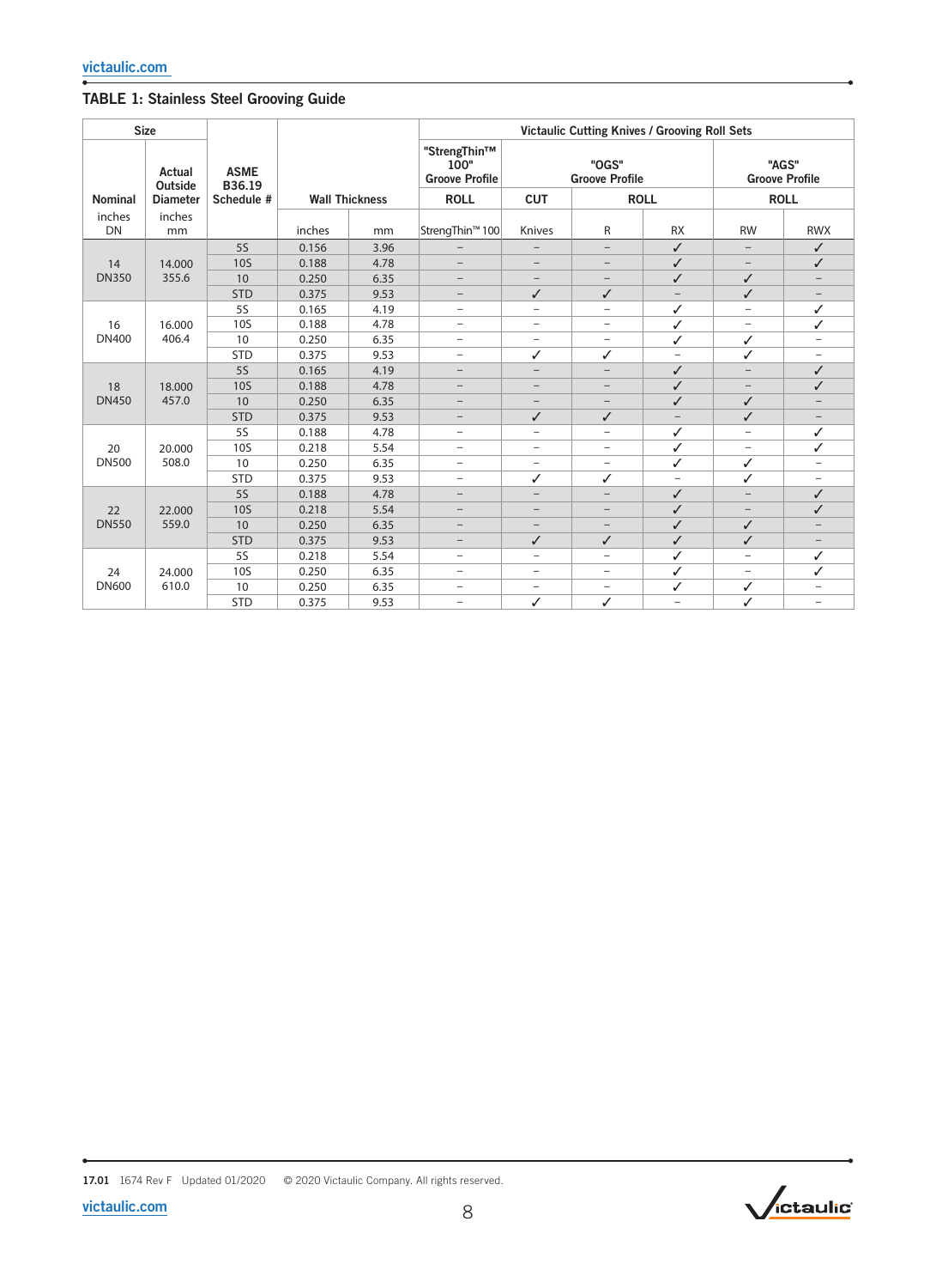## TABLE 1: Stainless Steel Grooving Guide

| <b>Size</b>         |                   |                       |        |                       | <b>Victaulic Cutting Knives / Grooving Roll Sets</b> |                          |                                |                          |                          |                                |  |
|---------------------|-------------------|-----------------------|--------|-----------------------|------------------------------------------------------|--------------------------|--------------------------------|--------------------------|--------------------------|--------------------------------|--|
|                     | Actual<br>Outside | <b>ASME</b><br>B36.19 |        |                       | "StrengThin™<br>100"<br><b>Groove Profile</b>        |                          | "OGS"<br><b>Groove Profile</b> |                          |                          | "AGS"<br><b>Groove Profile</b> |  |
| Nominal             | <b>Diameter</b>   | Schedule #            |        | <b>Wall Thickness</b> | <b>ROLL</b>                                          | <b>CUT</b>               | <b>ROLL</b>                    |                          | <b>ROLL</b>              |                                |  |
| inches<br><b>DN</b> | inches<br>mm      |                       | inches | mm                    | StrengThin <sup>™</sup> 100                          | Knives                   | R                              | <b>RX</b>                | <b>RW</b>                | <b>RWX</b>                     |  |
|                     |                   | 55                    | 0.156  | 3.96                  | $\overline{\phantom{0}}$                             |                          | $-$                            | ✓                        | $\qquad \qquad -$        | $\checkmark$                   |  |
| 14                  | 14.000            | <b>10S</b>            | 0.188  | 4.78                  | $\overline{\phantom{0}}$                             |                          | $\qquad \qquad -$              | ✓                        | $\overline{\phantom{a}}$ | ✓                              |  |
| <b>DN350</b>        | 355.6             | 10                    | 0.250  | 6.35                  | $\overline{\phantom{m}}$                             | $\overline{\phantom{0}}$ | $\overline{\phantom{0}}$       | ✓                        | ✓                        | $\qquad \qquad -$              |  |
|                     |                   | <b>STD</b>            | 0.375  | 9.53                  | -                                                    | $\checkmark$             | ✓                              |                          | ✓                        | $\overline{\phantom{0}}$       |  |
|                     |                   | <b>5S</b>             | 0.165  | 4.19                  | $\overline{\phantom{0}}$                             | -                        | $\overline{\phantom{0}}$       | ✓                        | $\qquad \qquad -$        | $\checkmark$                   |  |
| 16                  | 16.000            | <b>10S</b>            | 0.188  | 4.78                  | $\overline{\phantom{m}}$                             | $\overline{\phantom{0}}$ | -                              | ✓                        | $\qquad \qquad -$        | ✓                              |  |
| <b>DN400</b>        | 406.4             | 10                    | 0.250  | 6.35                  | -                                                    | -                        | -                              | ✓                        | ✓                        | $\overline{\phantom{0}}$       |  |
|                     |                   | <b>STD</b>            | 0.375  | 9.53                  | $\qquad \qquad -$                                    | ✓                        | ✓                              | $\overline{\phantom{0}}$ | ✓                        | -                              |  |
|                     |                   | <b>5S</b>             | 0.165  | 4.19                  | $\overline{\phantom{m}}$                             | $\qquad \qquad -$        | $\overline{\phantom{0}}$       | ✓                        | $\overline{\phantom{m}}$ | ✓                              |  |
| 18                  | 18.000<br>457.0   | <b>10S</b>            | 0.188  | 4.78                  | $\overline{\phantom{0}}$                             |                          |                                | ✓                        | $\overline{\phantom{0}}$ | ✓                              |  |
| <b>DN450</b>        |                   | 10                    | 0.250  | 6.35                  | $\overline{\phantom{0}}$                             | $\overline{\phantom{0}}$ | -                              | ✓                        | ✓                        | $\qquad \qquad -$              |  |
|                     |                   | <b>STD</b>            | 0.375  | 9.53                  | $\overline{\phantom{a}}$                             | $\checkmark$             | ✓                              | $-$                      | ✓                        | $\overline{\phantom{0}}$       |  |
|                     | 20.000            | <b>5S</b>             | 0.188  | 4.78                  | $\overline{\phantom{0}}$                             | $\overline{a}$           | $\overline{a}$                 | ✓                        | $\overline{\phantom{0}}$ | ✓                              |  |
| 20                  |                   | <b>10S</b>            | 0.218  | 5.54                  | $\qquad \qquad -$                                    | ÷                        | ÷                              | ✓                        | $\overline{\phantom{a}}$ | ✓                              |  |
| <b>DN500</b>        | 508.0             | 10                    | 0.250  | 6.35                  | $\overline{\phantom{0}}$                             | $\overline{\phantom{0}}$ | ÷                              | ✓                        | ✓                        | $\overline{\phantom{0}}$       |  |
|                     |                   | <b>STD</b>            | 0.375  | 9.53                  | $\overline{\phantom{0}}$                             | ✓                        | ✓                              | $\overline{\phantom{0}}$ | ✓                        | -                              |  |
|                     |                   | <b>5S</b>             | 0.188  | 4.78                  | $\overline{\phantom{0}}$                             | -                        | -                              | ✓                        | $\qquad \qquad -$        | ✓                              |  |
| 22                  | 22.000            | <b>10S</b>            | 0.218  | 5.54                  | $\qquad \qquad -$                                    | $\overline{\phantom{0}}$ | $\overline{\phantom{0}}$       | ✓                        | $\qquad \qquad -$        | ✓                              |  |
| <b>DN550</b>        | 559.0             | 10                    | 0.250  | 6.35                  | $\overline{\phantom{0}}$                             |                          | -                              | ✓                        | ✓                        | -                              |  |
|                     |                   | <b>STD</b>            | 0.375  | 9.53                  | $\qquad \qquad -$                                    | $\checkmark$             | $\checkmark$                   | ✓                        | ✓                        | $\qquad \qquad -$              |  |
|                     |                   | <b>5S</b>             | 0.218  | 5.54                  | $\overline{\phantom{0}}$                             | $\overline{\phantom{0}}$ | -                              | ✓                        | -                        | ✓                              |  |
| 24                  | 24.000            | <b>10S</b>            | 0.250  | 6.35                  | $\overline{\phantom{0}}$                             | -                        | -                              | ✓                        | -                        | ✓                              |  |
| <b>DN600</b>        | 610.0             | 10                    | 0.250  | 6.35                  | $\qquad \qquad -$                                    | $\qquad \qquad -$        | $\qquad \qquad -$              | ✓                        | ✓                        | $\qquad \qquad -$              |  |
|                     |                   | <b>STD</b>            | 0.375  | 9.53                  | -                                                    | ✓                        | ✓                              | $\overline{a}$           | ✓                        | -                              |  |

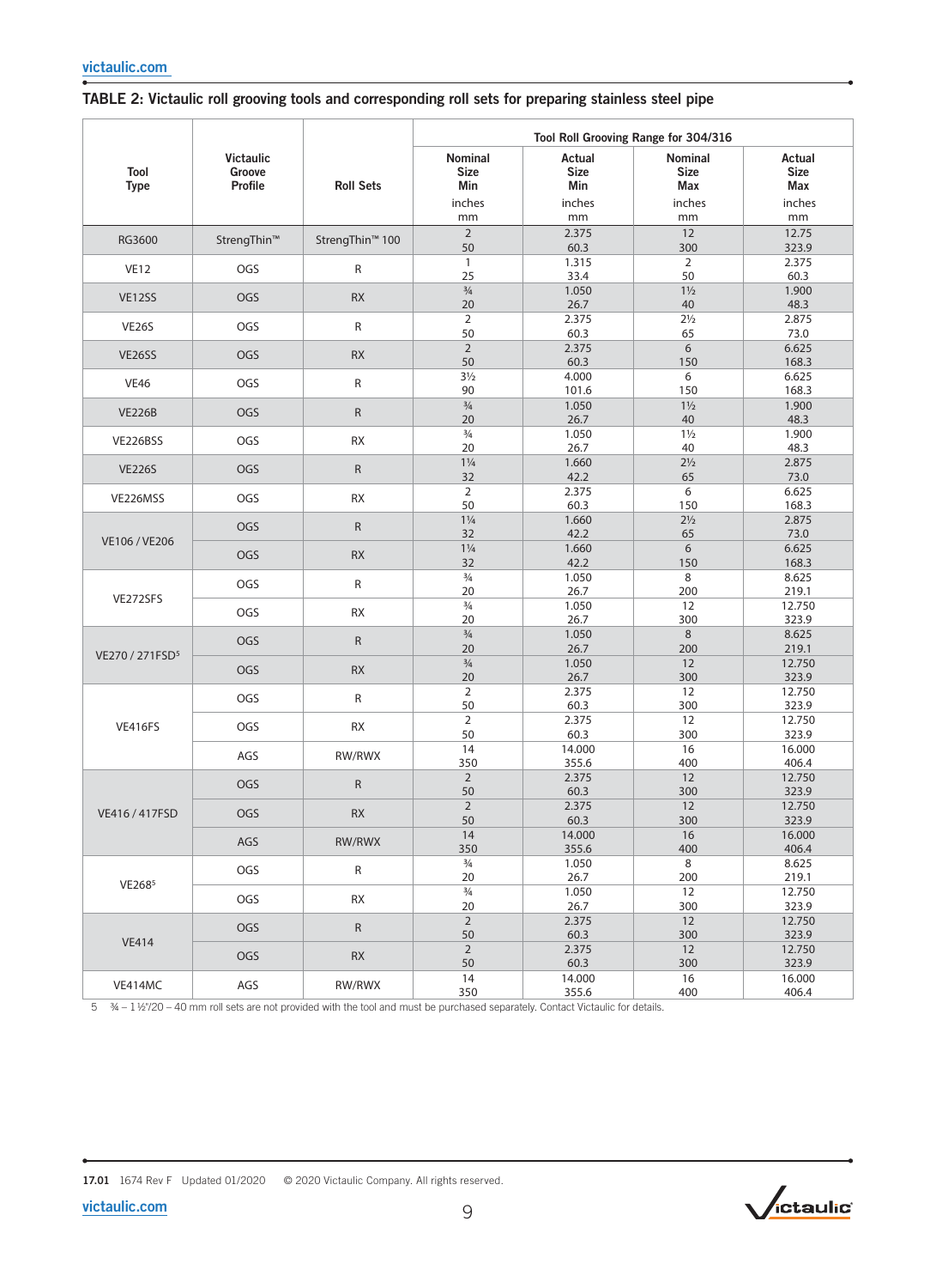|                             |                                       |                             | Tool Roll Grooving Range for 304/316          |                                              |                                               |                                              |  |  |  |
|-----------------------------|---------------------------------------|-----------------------------|-----------------------------------------------|----------------------------------------------|-----------------------------------------------|----------------------------------------------|--|--|--|
| <b>Tool</b><br><b>Type</b>  | <b>Victaulic</b><br>Groove<br>Profile | <b>Roll Sets</b>            | Nominal<br><b>Size</b><br>Min<br>inches<br>mm | Actual<br><b>Size</b><br>Min<br>inches<br>mm | Nominal<br><b>Size</b><br>Max<br>inches<br>mm | Actual<br><b>Size</b><br>Max<br>inches<br>mm |  |  |  |
|                             |                                       |                             | $\overline{2}$                                | 2.375                                        | 12                                            | 12.75                                        |  |  |  |
| RG3600                      | StrengThin™                           | StrengThin <sup>™</sup> 100 | 50                                            | 60.3                                         | 300                                           | 323.9                                        |  |  |  |
| <b>VE12</b>                 | OGS                                   | $\mathsf R$                 | $\mathbf{1}$<br>25                            | 1.315<br>33.4                                | $\overline{2}$<br>50                          | 2.375<br>60.3                                |  |  |  |
| <b>VE12SS</b>               | OGS                                   | <b>RX</b>                   | $\frac{3}{4}$<br>20                           | 1.050<br>26.7                                | $1\frac{1}{2}$<br>$40\,$                      | 1.900<br>48.3                                |  |  |  |
| <b>VE26S</b>                | OGS                                   | $\mathsf{R}$                | $\overline{2}$                                | 2.375                                        | $2\frac{1}{2}$                                | 2.875                                        |  |  |  |
| <b>VE26SS</b>               | OGS                                   | <b>RX</b>                   | 50<br>$\overline{2}$                          | 60.3<br>2.375                                | 65<br>6                                       | 73.0<br>6.625                                |  |  |  |
|                             |                                       |                             | 50<br>$3\frac{1}{2}$                          | 60.3<br>4.000                                | 150<br>6                                      | 168.3<br>6.625                               |  |  |  |
| <b>VE46</b>                 | OGS                                   | ${\sf R}$                   | 90                                            | 101.6                                        | 150                                           | 168.3                                        |  |  |  |
| <b>VE226B</b>               | OGS                                   | ${\sf R}$                   | $\frac{3}{4}$                                 | 1.050                                        | $1\frac{1}{2}$                                | 1.900                                        |  |  |  |
|                             |                                       |                             | 20<br>$\frac{3}{4}$                           | 26.7                                         | 40                                            | 48.3                                         |  |  |  |
| <b>VE226BSS</b>             | OGS                                   | <b>RX</b>                   | 20                                            | 1.050<br>26.7                                | $1\frac{1}{2}$<br>40                          | 1.900<br>48.3                                |  |  |  |
|                             |                                       |                             | $1\frac{1}{4}$                                | 1.660                                        | $2\frac{1}{2}$                                | 2.875                                        |  |  |  |
| <b>VE226S</b>               | OGS                                   | ${\sf R}$                   | 32                                            | 42.2                                         | 65                                            | 73.0                                         |  |  |  |
| VE226MSS                    | OGS                                   | <b>RX</b>                   | $\overline{2}$<br>50                          | 2.375<br>60.3                                | 6<br>150                                      | 6.625<br>168.3                               |  |  |  |
| VE106 / VE206               | OGS                                   | $\mathsf{R}$                | $1\frac{1}{4}$                                | 1.660                                        | $2\frac{1}{2}$                                | 2.875                                        |  |  |  |
|                             |                                       |                             | 32<br>$1\frac{1}{4}$                          | 42.2<br>1.660                                | 65<br>6                                       | 73.0<br>6.625                                |  |  |  |
|                             | OGS                                   | <b>RX</b>                   | 32                                            | 42.2                                         | 150                                           | 168.3                                        |  |  |  |
|                             | OGS                                   | $\mathsf{R}$                | $\frac{3}{4}$                                 | 1.050                                        | 8                                             | 8.625                                        |  |  |  |
| VE272SFS                    |                                       |                             | 20                                            | 26.7                                         | 200                                           | 219.1                                        |  |  |  |
|                             | OGS                                   | <b>RX</b>                   | $\frac{3}{4}$<br>20                           | 1.050<br>26.7                                | 12<br>300                                     | 12.750<br>323.9                              |  |  |  |
|                             | OGS                                   | $\mathsf R$                 | $\frac{3}{4}$                                 | 1.050                                        | $\,8\,$                                       | 8.625                                        |  |  |  |
| VE270 / 271FSD <sup>5</sup> |                                       |                             | 20                                            | 26.7                                         | 200                                           | 219.1                                        |  |  |  |
|                             | OGS                                   | <b>RX</b>                   | $\frac{3}{4}$<br>20                           | 1.050<br>26.7                                | 12<br>300                                     | 12.750<br>323.9                              |  |  |  |
|                             | OGS                                   | ${\sf R}$                   | $\overline{2}$                                | 2.375                                        | 12                                            | 12.750                                       |  |  |  |
|                             |                                       |                             | 50<br>$\overline{2}$                          | 60.3<br>2.375                                | 300<br>12                                     | 323.9<br>12.750                              |  |  |  |
| <b>VE416FS</b>              | OGS                                   | <b>RX</b>                   | 50                                            | 60.3                                         | 300                                           | 323.9                                        |  |  |  |
|                             | AGS                                   | RW/RWX                      | 14                                            | 14.000                                       | 16                                            | 16.000                                       |  |  |  |
|                             |                                       |                             | 350<br>$\overline{2}$                         | 355.6<br>2.375                               | 400<br>12                                     | 406.4<br>12.750                              |  |  |  |
|                             | <b>OGS</b>                            | $\mathsf{R}$                | 50                                            | 60.3                                         | 300                                           | 323.9                                        |  |  |  |
|                             |                                       |                             | $\overline{2}$                                | 2.375                                        | 12                                            | 12.750                                       |  |  |  |
| VE416 / 417FSD              | OGS                                   | <b>RX</b>                   | 50                                            | 60.3                                         | 300                                           | 323.9                                        |  |  |  |
|                             | AGS                                   | RW/RWX                      | 14<br>350                                     | 14.000<br>355.6                              | 16<br>400                                     | 16.000<br>406.4                              |  |  |  |
|                             |                                       |                             | $\frac{3}{4}$                                 | 1.050                                        | 8                                             | 8.625                                        |  |  |  |
| VE2685                      | OGS                                   | $\mathsf{R}$                | 20                                            | 26.7                                         | 200                                           | 219.1                                        |  |  |  |
|                             | OGS                                   | RX                          | $\frac{3}{4}$                                 | 1.050                                        | 12                                            | 12.750                                       |  |  |  |
|                             |                                       |                             | 20<br>$\overline{2}$                          | 26.7<br>2.375                                | 300<br>12                                     | 323.9<br>12.750                              |  |  |  |
|                             | OGS                                   | $\mathsf{R}$                | 50                                            | 60.3                                         | 300                                           | 323.9                                        |  |  |  |
| <b>VE414</b>                | <b>OGS</b>                            | <b>RX</b>                   | $\overline{2}$                                | 2.375                                        | 12                                            | 12.750                                       |  |  |  |
|                             |                                       |                             | 50                                            | 60.3                                         | 300                                           | 323.9                                        |  |  |  |
| VE414MC                     | AGS                                   | RW/RWX                      | 14<br>350                                     | 14.000<br>355.6                              | 16<br>400                                     | 16.000<br>406.4                              |  |  |  |

## TABLE 2: Victaulic roll grooving tools and corresponding roll sets for preparing stainless steel pipe

 $5 \frac{34 - 1 \frac{1}{2}}{20 - 40}$  mm roll sets are not provided with the tool and must be purchased separately. Contact Victaulic for details.

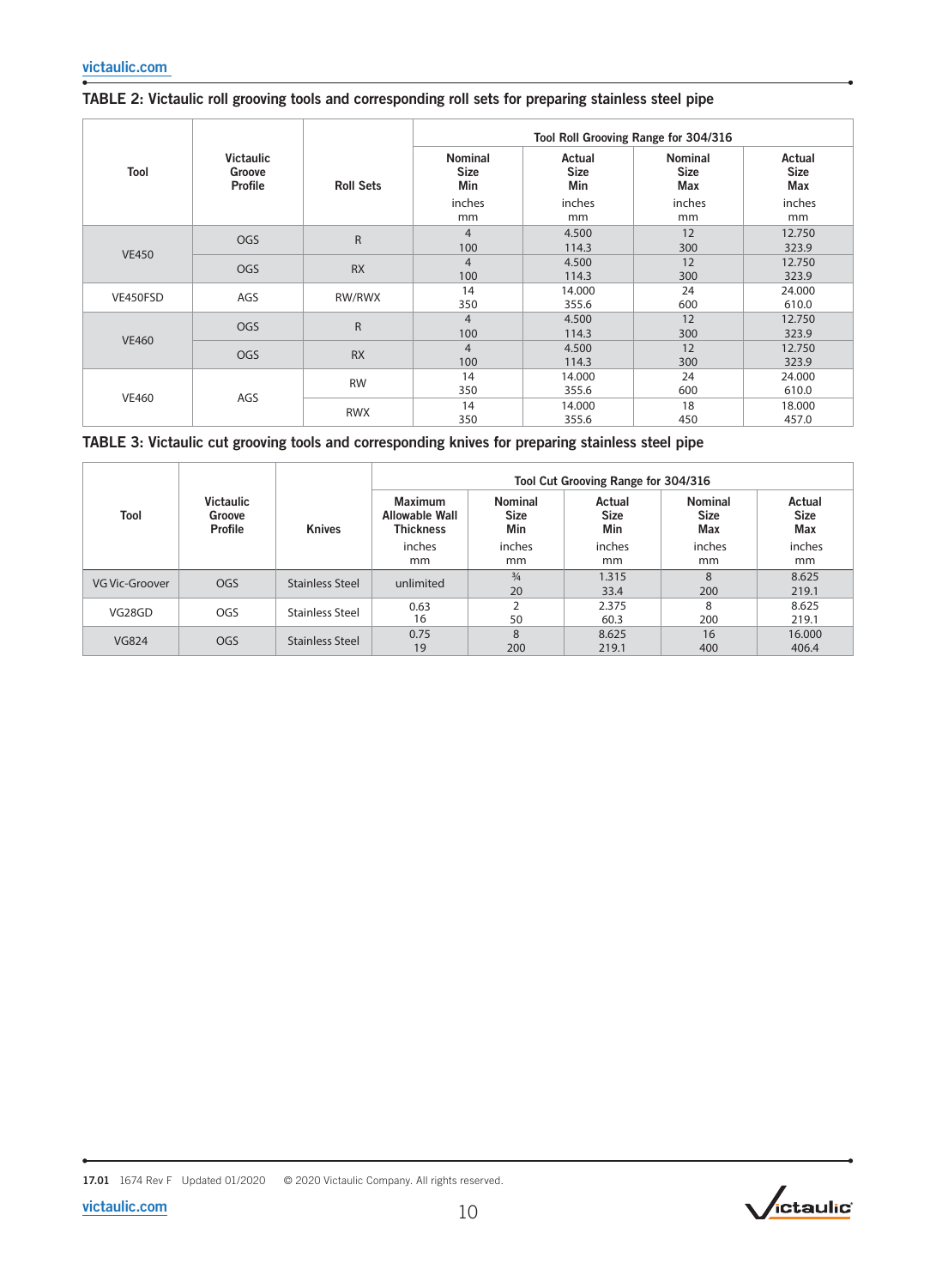|              |                                       |                  | Tool Roll Grooving Range for 304/316 |                              |                                      |                              |  |  |  |
|--------------|---------------------------------------|------------------|--------------------------------------|------------------------------|--------------------------------------|------------------------------|--|--|--|
| Tool         | <b>Victaulic</b><br>Groove<br>Profile | <b>Roll Sets</b> | <b>Nominal</b><br><b>Size</b><br>Min | Actual<br><b>Size</b><br>Min | <b>Nominal</b><br><b>Size</b><br>Max | Actual<br><b>Size</b><br>Max |  |  |  |
|              |                                       |                  | inches                               | inches                       | inches                               | inches                       |  |  |  |
|              |                                       |                  | mm                                   | mm                           | mm                                   | mm                           |  |  |  |
|              | <b>OGS</b>                            | $\mathsf{R}$     | $\overline{4}$                       | 4.500                        | 12                                   | 12.750                       |  |  |  |
| <b>VE450</b> |                                       |                  | 100                                  | 114.3                        | 300                                  | 323.9                        |  |  |  |
|              | OGS                                   | <b>RX</b>        | $\overline{4}$                       | 4.500                        | 12                                   | 12.750                       |  |  |  |
|              |                                       |                  | 100                                  | 114.3                        | 300                                  | 323.9                        |  |  |  |
|              | AGS                                   | RW/RWX           | 14                                   | 14.000                       | 24                                   | 24.000                       |  |  |  |
| VE450FSD     |                                       |                  | 350                                  | 355.6                        | 600                                  | 610.0                        |  |  |  |
|              |                                       |                  | $\overline{4}$                       | 4.500                        | 12                                   | 12.750                       |  |  |  |
|              | <b>OGS</b>                            | $\mathsf{R}$     | 100                                  | 114.3                        | 300                                  | 323.9                        |  |  |  |
| <b>VE460</b> | <b>OGS</b>                            | <b>RX</b>        | $\overline{4}$                       | 4.500                        | 12                                   | 12.750                       |  |  |  |
|              |                                       |                  | 100                                  | 114.3                        | 300                                  | 323.9                        |  |  |  |
| <b>VE460</b> |                                       | <b>RW</b>        | 14                                   | 14.000                       | 24                                   | 24.000                       |  |  |  |
|              |                                       |                  | 350                                  | 355.6                        | 600                                  | 610.0                        |  |  |  |
|              | AGS                                   | <b>RWX</b>       | 14                                   | 14.000                       | 18                                   | 18.000                       |  |  |  |
|              |                                       |                  | 350                                  | 355.6                        | 450                                  | 457.0                        |  |  |  |

### TABLE 3: Victaulic cut grooving tools and corresponding knives for preparing stainless steel pipe

|                |                                       | <b>Knives</b>          | Tool Cut Grooving Range for 304/316                         |                                      |                              |                                             |                                     |  |  |  |
|----------------|---------------------------------------|------------------------|-------------------------------------------------------------|--------------------------------------|------------------------------|---------------------------------------------|-------------------------------------|--|--|--|
| Tool           | <b>Victaulic</b><br>Groove<br>Profile |                        | <b>Maximum</b><br><b>Allowable Wall</b><br><b>Thickness</b> | <b>Nominal</b><br><b>Size</b><br>Min | Actual<br><b>Size</b><br>Min | <b>Nominal</b><br><b>Size</b><br><b>Max</b> | Actual<br><b>Size</b><br><b>Max</b> |  |  |  |
|                |                                       |                        | inches                                                      | inches                               | inches                       | inches                                      | inches                              |  |  |  |
|                |                                       |                        | mm                                                          | mm                                   | <sub>mm</sub>                | mm                                          | mm                                  |  |  |  |
| VG Vic-Groover | OGS                                   | <b>Stainless Steel</b> | unlimited                                                   | $\frac{3}{4}$                        | 1.315                        | $\mathbf{8}$                                | 8.625                               |  |  |  |
|                |                                       |                        |                                                             | 20                                   | 33.4                         | 200                                         | 219.1                               |  |  |  |
| VG28GD         | OGS                                   | <b>Stainless Steel</b> | 0.63                                                        | <sup>-</sup>                         | 2.375                        | 8                                           | 8.625                               |  |  |  |
|                |                                       |                        | 16                                                          | 50                                   | 60.3                         | 200                                         | 219.1                               |  |  |  |
|                |                                       | <b>Stainless Steel</b> | 0.75                                                        | 8                                    | 8.625                        | 16                                          | 16,000                              |  |  |  |
| <b>VG824</b>   | <b>OGS</b>                            |                        | 19                                                          | 200                                  | 219.1                        | 400                                         | 406.4                               |  |  |  |